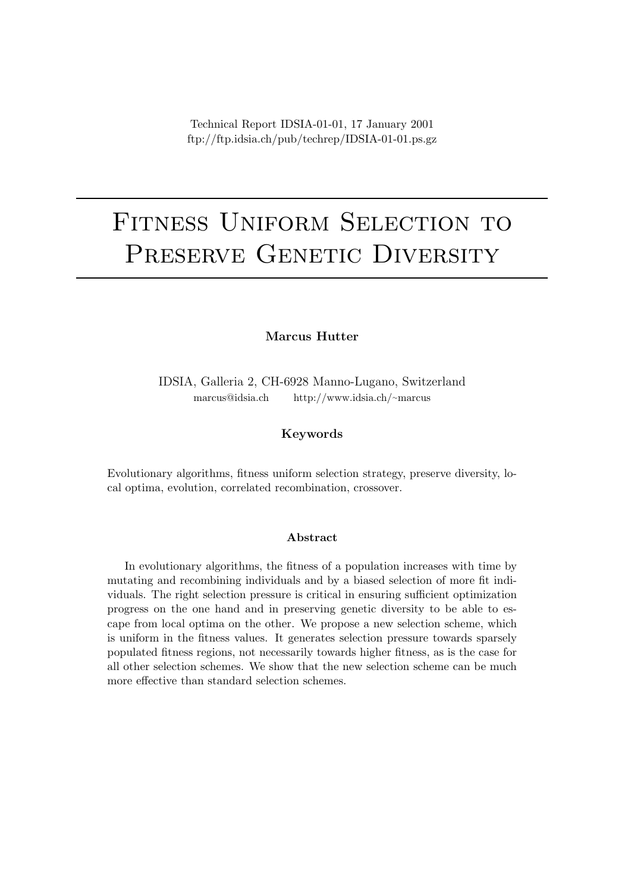Technical Report IDSIA-01-01, 17 January 2001 ftp://ftp.idsia.ch/pub/techrep/IDSIA-01-01.ps.gz

# Fitness Uniform Selection to PRESERVE GENETIC DIVERSITY

#### **Marcus Hutter**

IDSIA, Galleria 2, CH-6928 Manno-Lugano, Switzerland marcus@idsia.ch http://www.idsia.ch/*∼*marcus

### **Keywords**

Evolutionary algorithms, fitness uniform selection strategy, preserve diversity, local optima, evolution, correlated recombination, crossover.

#### **Abstract**

In evolutionary algorithms, the fitness of a population increases with time by mutating and recombining individuals and by a biased selection of more fit individuals. The right selection pressure is critical in ensuring sufficient optimization progress on the one hand and in preserving genetic diversity to be able to escape from local optima on the other. We propose a new selection scheme, which is uniform in the fitness values. It generates selection pressure towards sparsely populated fitness regions, not necessarily towards higher fitness, as is the case for all other selection schemes. We show that the new selection scheme can be much more effective than standard selection schemes.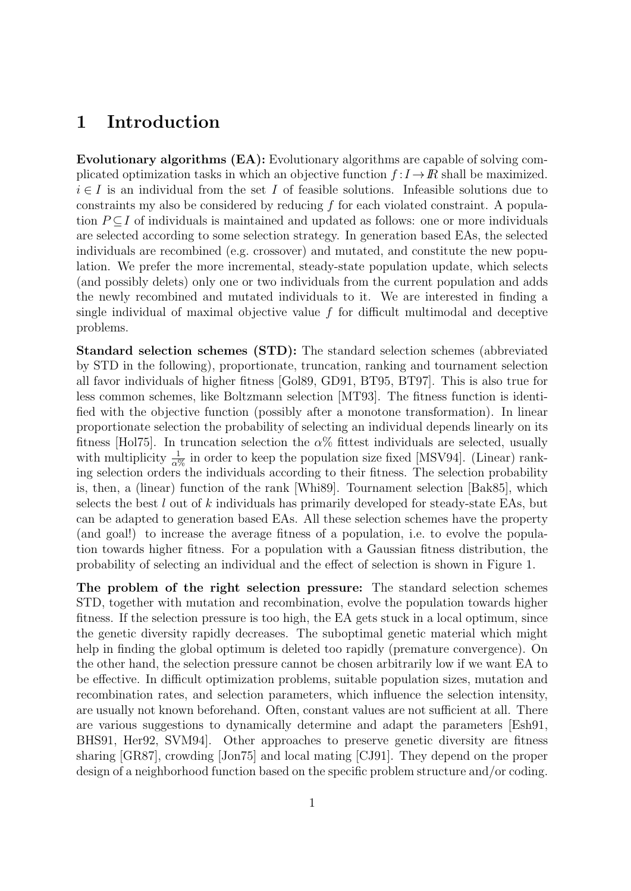### **1 Introduction**

**Evolutionary algorithms (EA):** Evolutionary algorithms are capable of solving complicated optimization tasks in which an objective function  $f: I \to I\!\!R$  shall be maximized. *i* ∈ *I* is an individual from the set *I* of feasible solutions. Infeasible solutions due to constraints my also be considered by reducing *f* for each violated constraint. A population  $P \subseteq I$  of individuals is maintained and updated as follows: one or more individuals are selected according to some selection strategy. In generation based EAs, the selected individuals are recombined (e.g. crossover) and mutated, and constitute the new population. We prefer the more incremental, steady-state population update, which selects (and possibly delets) only one or two individuals from the current population and adds the newly recombined and mutated individuals to it. We are interested in finding a single individual of maximal objective value *f* for difficult multimodal and deceptive problems.

**Standard selection schemes (STD):** The standard selection schemes (abbreviated by STD in the following), proportionate, truncation, ranking and tournament selection all favor individuals of higher fitness [Gol89, GD91, BT95, BT97]. This is also true for less common schemes, like Boltzmann selection [MT93]. The fitness function is identified with the objective function (possibly after a monotone transformation). In linear proportionate selection the probability of selecting an individual depends linearly on its fitness [Hol75]. In truncation selection the  $\alpha$ % fittest individuals are selected, usually with multiplicity  $\frac{1}{\alpha\%}$  in order to keep the population size fixed [MSV94]. (Linear) ranking selection orders the individuals according to their fitness. The selection probability is, then, a (linear) function of the rank [Whi89]. Tournament selection [Bak85], which selects the best *l* out of *k* individuals has primarily developed for steady-state EAs, but can be adapted to generation based EAs. All these selection schemes have the property (and goal!) to increase the average fitness of a population, i.e. to evolve the population towards higher fitness. For a population with a Gaussian fitness distribution, the probability of selecting an individual and the effect of selection is shown in Figure 1.

**The problem of the right selection pressure:** The standard selection schemes STD, together with mutation and recombination, evolve the population towards higher fitness. If the selection pressure is too high, the EA gets stuck in a local optimum, since the genetic diversity rapidly decreases. The suboptimal genetic material which might help in finding the global optimum is deleted too rapidly (premature convergence). On the other hand, the selection pressure cannot be chosen arbitrarily low if we want EA to be effective. In difficult optimization problems, suitable population sizes, mutation and recombination rates, and selection parameters, which influence the selection intensity, are usually not known beforehand. Often, constant values are not sufficient at all. There are various suggestions to dynamically determine and adapt the parameters [Esh91, BHS91, Her92, SVM94]. Other approaches to preserve genetic diversity are fitness sharing [GR87], crowding [Jon75] and local mating [CJ91]. They depend on the proper design of a neighborhood function based on the specific problem structure and/or coding.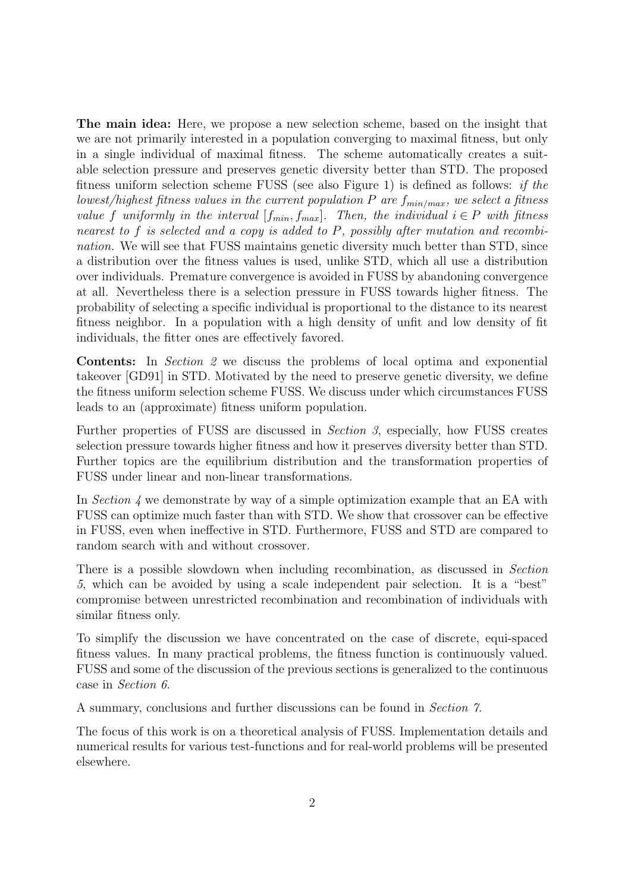**The main idea:** Here, we propose a new selection scheme, based on the insight that we are not primarily interested in a population converging to maximal fitness, but only in a single individual of maximal fitness. The scheme automatically creates a suitable selection pressure and preserves genetic diversity better than STD. The proposed fitness uniform selection scheme FUSS (see also Figure 1) is defined as follows: *if the lowest/highest fitness values in the current population P are fmin/max, we select a fitness value f uniformly in the interval*  $[f_{min}, f_{max}]$ *. Then, the individual*  $i \in P$  *with fitness nearest to f is selected and a copy is added to P, possibly after mutation and recombination.* We will see that FUSS maintains genetic diversity much better than STD, since a distribution over the fitness values is used, unlike STD, which all use a distribution over individuals. Premature convergence is avoided in FUSS by abandoning convergence at all. Nevertheless there is a selection pressure in FUSS towards higher fitness. The probability of selecting a specific individual is proportional to the distance to its nearest fitness neighbor. In a population with a high density of unfit and low density of fit individuals, the fitter ones are effectively favored.

**Contents:** In *Section 2* we discuss the problems of local optima and exponential takeover [GD91] in STD. Motivated by the need to preserve genetic diversity, we define the fitness uniform selection scheme FUSS. We discuss under which circumstances FUSS leads to an (approximate) fitness uniform population.

Further properties of FUSS are discussed in *Section 3*, especially, how FUSS creates selection pressure towards higher fitness and how it preserves diversity better than STD. Further topics are the equilibrium distribution and the transformation properties of FUSS under linear and non-linear transformations.

In *Section 4* we demonstrate by way of a simple optimization example that an EA with FUSS can optimize much faster than with STD. We show that crossover can be effective in FUSS, even when ineffective in STD. Furthermore, FUSS and STD are compared to random search with and without crossover.

There is a possible slowdown when including recombination, as discussed in *Section 5*, which can be avoided by using a scale independent pair selection. It is a "best" compromise between unrestricted recombination and recombination of individuals with similar fitness only.

To simplify the discussion we have concentrated on the case of discrete, equi-spaced fitness values. In many practical problems, the fitness function is continuously valued. FUSS and some of the discussion of the previous sections is generalized to the continuous case in *Section 6*.

A summary, conclusions and further discussions can be found in *Section 7*.

The focus of this work is on a theoretical analysis of FUSS. Implementation details and numerical results for various test-functions and for real-world problems will be presented elsewhere.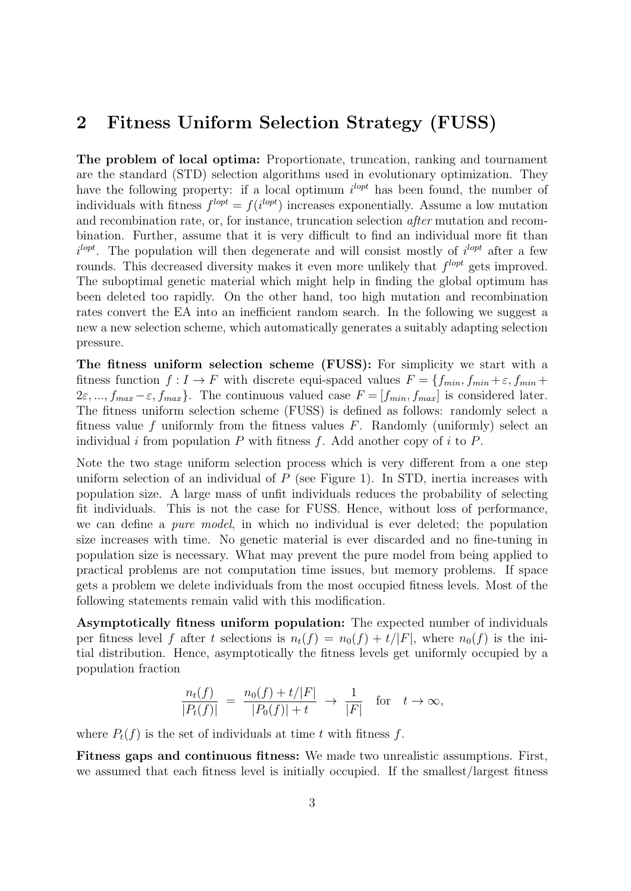### **2 Fitness Uniform Selection Strategy (FUSS)**

**The problem of local optima:** Proportionate, truncation, ranking and tournament are the standard (STD) selection algorithms used in evolutionary optimization. They have the following property: if a local optimum  $i^{lopt}$  has been found, the number of individuals with fitness  $f^{lopt} = f(i^{lopt})$  increases exponentially. Assume a low mutation and recombination rate, or, for instance, truncation selection *after* mutation and recombination. Further, assume that it is very difficult to find an individual more fit than  $i^{lopt}$ . The population will then degenerate and will consist mostly of  $i^{lopt}$  after a few rounds. This decreased diversity makes it even more unlikely that  $f^{lopt}$  gets improved. The suboptimal genetic material which might help in finding the global optimum has been deleted too rapidly. On the other hand, too high mutation and recombination rates convert the EA into an inefficient random search. In the following we suggest a new a new selection scheme, which automatically generates a suitably adapting selection pressure.

**The fitness uniform selection scheme (FUSS):** For simplicity we start with a fitness function  $f: I \to F$  with discrete equi-spaced values  $F = \{f_{min}, f_{min} + \varepsilon, f_{min} + \varepsilon\}$  $2\varepsilon, ..., f_{max} - \varepsilon, f_{max}$ . The continuous valued case  $F = [f_{min}, f_{max}]$  is considered later. The fitness uniform selection scheme (FUSS) is defined as follows: randomly select a fitness value *f* uniformly from the fitness values *F*. Randomly (uniformly) select an individual *i* from population *P* with fitness *f*. Add another copy of *i* to *P*.

Note the two stage uniform selection process which is very different from a one step uniform selection of an individual of *P* (see Figure 1). In STD, inertia increases with population size. A large mass of unfit individuals reduces the probability of selecting fit individuals. This is not the case for FUSS. Hence, without loss of performance, we can define a *pure model*, in which no individual is ever deleted; the population size increases with time. No genetic material is ever discarded and no fine-tuning in population size is necessary. What may prevent the pure model from being applied to practical problems are not computation time issues, but memory problems. If space gets a problem we delete individuals from the most occupied fitness levels. Most of the following statements remain valid with this modification.

**Asymptotically fitness uniform population:** The expected number of individuals per fitness level *f* after *t* selections is  $n_t(f) = n_0(f) + t/|F|$ , where  $n_0(f)$  is the initial distribution. Hence, asymptotically the fitness levels get uniformly occupied by a population fraction

$$
\frac{n_t(f)}{|P_t(f)|} = \frac{n_0(f) + t/|F|}{|P_0(f)| + t} \to \frac{1}{|F|} \quad \text{for} \quad t \to \infty,
$$

where  $P_t(f)$  is the set of individuals at time *t* with fitness *f*.

**Fitness gaps and continuous fitness:** We made two unrealistic assumptions. First, we assumed that each fitness level is initially occupied. If the smallest/largest fitness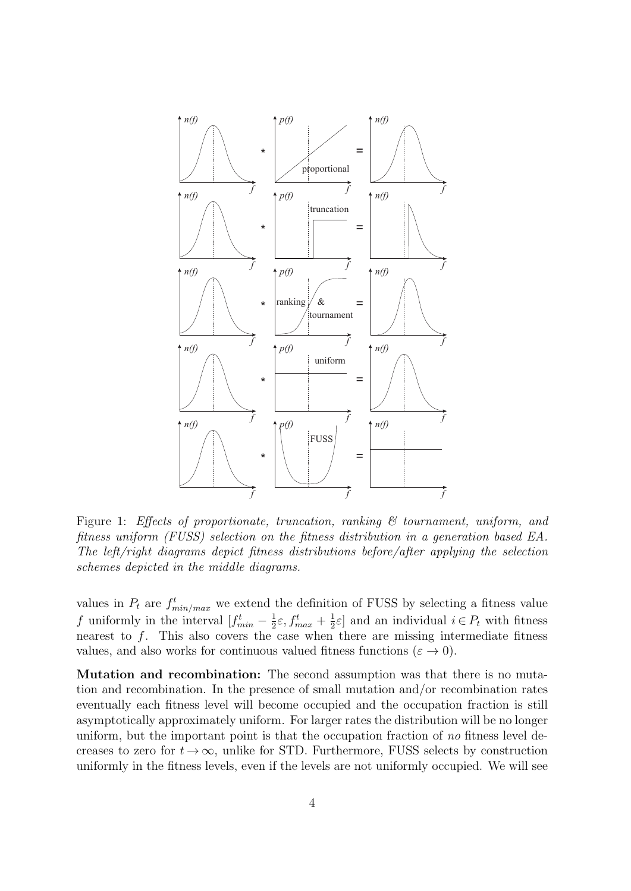

Figure 1: *Effects of proportionate, truncation, ranking & tournament, uniform, and fitness uniform (FUSS) selection on the fitness distribution in a generation based EA. The left/right diagrams depict fitness distributions before/after applying the selection schemes depicted in the middle diagrams.*

values in  $P_t$  are  $f_{min/max}^t$  we extend the definition of FUSS by selecting a fitness value *f* uniformly in the interval  $\left[f_{min}^t - \frac{1}{2}\right]$  $\frac{1}{2}\varepsilon$ ,  $f_{max}^t + \frac{1}{2}$  $\frac{1}{2}\varepsilon$  and an individual  $i \in P_t$  with fitness nearest to *f*. This also covers the case when there are missing intermediate fitness values, and also works for continuous valued fitness functions ( $\varepsilon \to 0$ ).

**Mutation and recombination:** The second assumption was that there is no mutation and recombination. In the presence of small mutation and/or recombination rates eventually each fitness level will become occupied and the occupation fraction is still asymptotically approximately uniform. For larger rates the distribution will be no longer uniform, but the important point is that the occupation fraction of *no* fitness level decreases to zero for  $t \to \infty$ , unlike for STD. Furthermore, FUSS selects by construction uniformly in the fitness levels, even if the levels are not uniformly occupied. We will see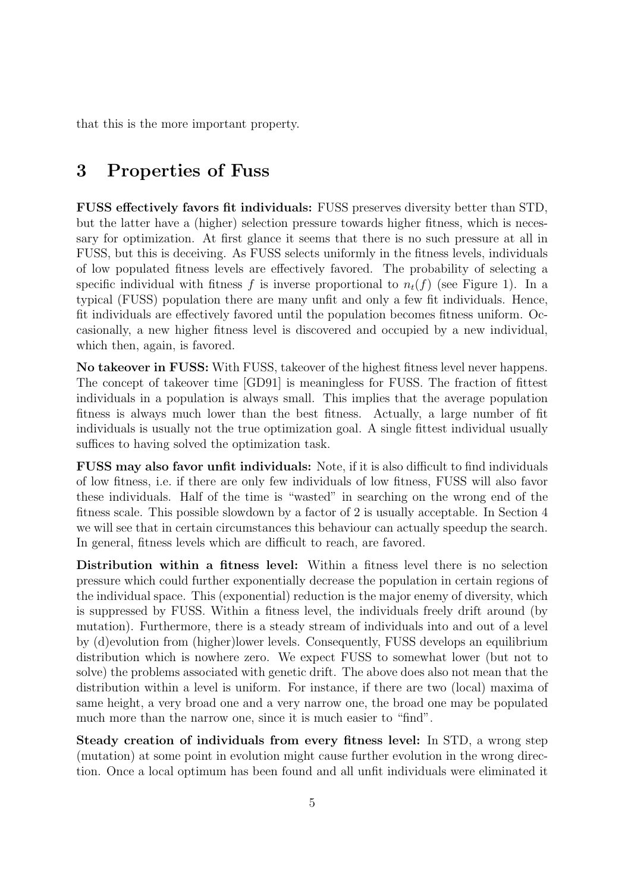that this is the more important property.

# **3 Properties of Fuss**

**FUSS effectively favors fit individuals:** FUSS preserves diversity better than STD, but the latter have a (higher) selection pressure towards higher fitness, which is necessary for optimization. At first glance it seems that there is no such pressure at all in FUSS, but this is deceiving. As FUSS selects uniformly in the fitness levels, individuals of low populated fitness levels are effectively favored. The probability of selecting a specific individual with fitness f is inverse proportional to  $n_t(f)$  (see Figure 1). In a typical (FUSS) population there are many unfit and only a few fit individuals. Hence, fit individuals are effectively favored until the population becomes fitness uniform. Occasionally, a new higher fitness level is discovered and occupied by a new individual, which then, again, is favored.

**No takeover in FUSS:** With FUSS, takeover of the highest fitness level never happens. The concept of takeover time [GD91] is meaningless for FUSS. The fraction of fittest individuals in a population is always small. This implies that the average population fitness is always much lower than the best fitness. Actually, a large number of fit individuals is usually not the true optimization goal. A single fittest individual usually suffices to having solved the optimization task.

**FUSS may also favor unfit individuals:** Note, if it is also difficult to find individuals of low fitness, i.e. if there are only few individuals of low fitness, FUSS will also favor these individuals. Half of the time is "wasted" in searching on the wrong end of the fitness scale. This possible slowdown by a factor of 2 is usually acceptable. In Section 4 we will see that in certain circumstances this behaviour can actually speedup the search. In general, fitness levels which are difficult to reach, are favored.

**Distribution within a fitness level:** Within a fitness level there is no selection pressure which could further exponentially decrease the population in certain regions of the individual space. This (exponential) reduction is the major enemy of diversity, which is suppressed by FUSS. Within a fitness level, the individuals freely drift around (by mutation). Furthermore, there is a steady stream of individuals into and out of a level by (d)evolution from (higher)lower levels. Consequently, FUSS develops an equilibrium distribution which is nowhere zero. We expect FUSS to somewhat lower (but not to solve) the problems associated with genetic drift. The above does also not mean that the distribution within a level is uniform. For instance, if there are two (local) maxima of same height, a very broad one and a very narrow one, the broad one may be populated much more than the narrow one, since it is much easier to "find".

**Steady creation of individuals from every fitness level:** In STD, a wrong step (mutation) at some point in evolution might cause further evolution in the wrong direction. Once a local optimum has been found and all unfit individuals were eliminated it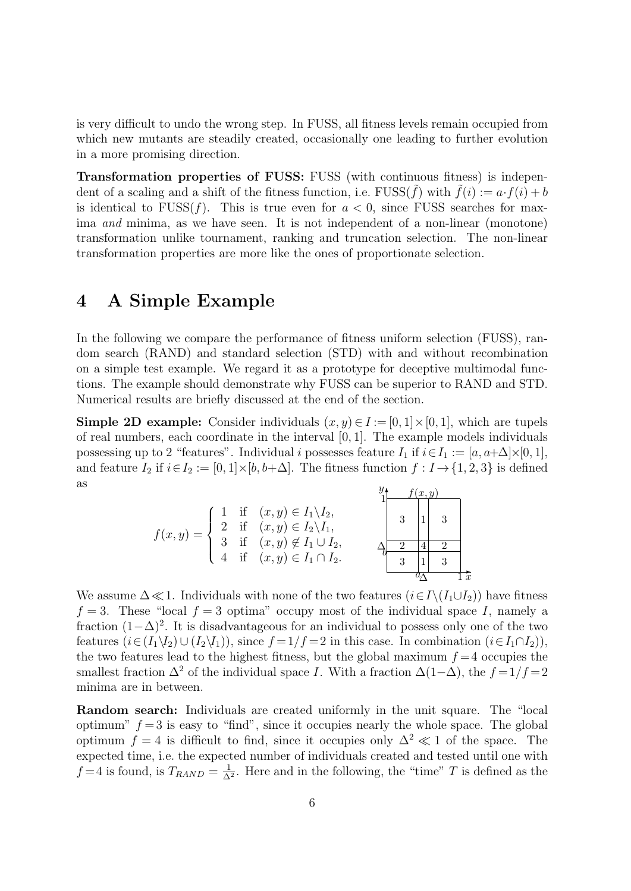is very difficult to undo the wrong step. In FUSS, all fitness levels remain occupied from which new mutants are steadily created, occasionally one leading to further evolution in a more promising direction.

**Transformation properties of FUSS:** FUSS (with continuous fitness) is independent of a scaling and a shift of the fitness function, i.e.  $FUSS(f)$  with  $f(i) := a \cdot f(i) + b$ is identical to  $FUSS(f)$ . This is true even for  $a < 0$ , since FUSS searches for maxima *and* minima, as we have seen. It is not independent of a non-linear (monotone) transformation unlike tournament, ranking and truncation selection. The non-linear transformation properties are more like the ones of proportionate selection.

# **4 A Simple Example**

In the following we compare the performance of fitness uniform selection (FUSS), random search (RAND) and standard selection (STD) with and without recombination on a simple test example. We regard it as a prototype for deceptive multimodal functions. The example should demonstrate why FUSS can be superior to RAND and STD. Numerical results are briefly discussed at the end of the section.

**Simple 2D example:** Consider individuals  $(x, y) \in I := [0, 1] \times [0, 1]$ , which are tupels of real numbers, each coordinate in the interval [0*,* 1]. The example models individuals possessing up to 2 "features". Individual *i* possesses feature  $I_1$  if  $i \in I_1 := [a, a+\Delta] \times [0, 1]$ , and feature  $I_2$  if  $i \in I_2 := [0,1] \times [b, b + \Delta]$ . The fitness function  $f : I \rightarrow \{1,2,3\}$  is defined as *f*(*x, y*)

$$
f(x,y) = \begin{cases} 1 & \text{if } (x,y) \in I_1 \backslash I_2, \\ 2 & \text{if } (x,y) \in I_2 \backslash I_1, \\ 3 & \text{if } (x,y) \notin I_1 \cup I_2, \\ 4 & \text{if } (x,y) \in I_1 \cap I_2. \end{cases} \qquad \qquad \begin{cases} y_1 & \text{if } f(x,y) \\ 3 & 1 & 3 \\ \hline 2 & 4 & 2 \\ 3 & 1 & 3 \\ \hline 4 & 1 & 3 \end{cases}
$$

We assume  $\Delta \ll 1$ . Individuals with none of the two features  $(i \in I \setminus (I_1 \cup I_2))$  have fitness  $f = 3$ . These "local  $f = 3$  optima" occupy most of the individual space *I*, namely a fraction  $(1-\Delta)^2$ . It is disadvantageous for an individual to possess only one of the two features  $(i \in (I_1 \setminus I_2) \cup (I_2 \setminus I_1)$ , since  $f = 1/f = 2$  in this case. In combination  $(i \in I_1 \cap I_2)$ , the two features lead to the highest fitness, but the global maximum  $f = 4$  occupies the smallest fraction  $\Delta^2$  of the individual space *I*. With a fraction  $\Delta(1-\Delta)$ , the  $f=1/f=2$ minima are in between.

**Random search:** Individuals are created uniformly in the unit square. The "local optimum"  $f = 3$  is easy to "find", since it occupies nearly the whole space. The global optimum  $f = 4$  is difficult to find, since it occupies only  $\Delta^2 \ll 1$  of the space. The expected time, i.e. the expected number of individuals created and tested until one with  $f = 4$  is found, is  $T_{RAND} = \frac{1}{\Delta}$  $\frac{1}{\Delta^2}$ . Here and in the following, the "time" *T* is defined as the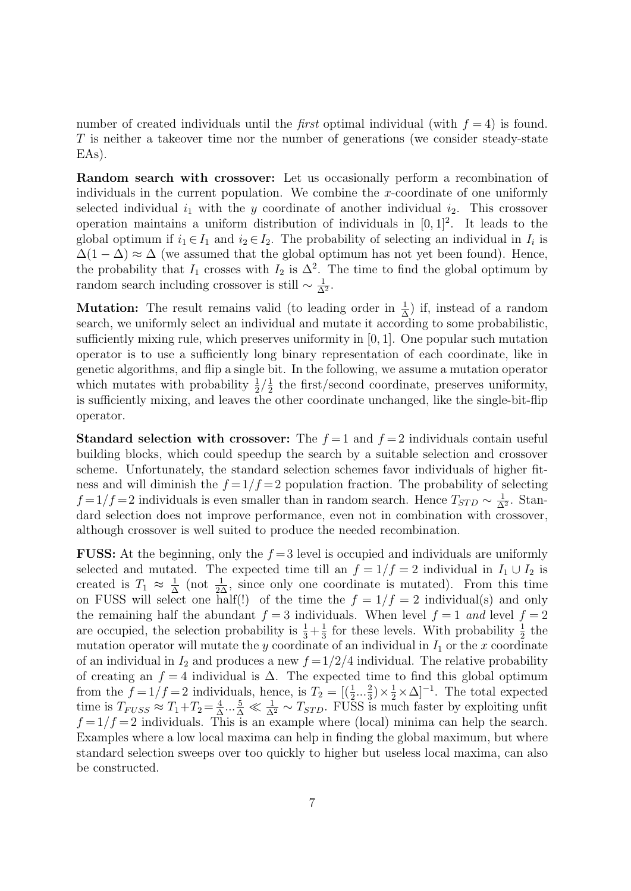number of created individuals until the *first* optimal individual (with  $f = 4$ ) is found. *T* is neither a takeover time nor the number of generations (we consider steady-state EAs).

**Random search with crossover:** Let us occasionally perform a recombination of individuals in the current population. We combine the *x*-coordinate of one uniformly selected individual  $i_1$  with the *y* coordinate of another individual  $i_2$ . This crossover operation maintains a uniform distribution of individuals in  $[0, 1]^2$ . It leads to the global optimum if  $i_1 \in I_1$  and  $i_2 \in I_2$ . The probability of selecting an individual in  $I_i$  is  $\Delta(1-\Delta) \approx \Delta$  (we assumed that the global optimum has not yet been found). Hence, the probability that  $I_1$  crosses with  $I_2$  is  $\Delta^2$ . The time to find the global optimum by random search including crossover is still  $\sim \frac{1}{\Delta}$  $\frac{1}{\Delta^2}$ .

**Mutation:** The result remains valid (to leading order in  $\frac{1}{\Delta}$ ) if, instead of a random search, we uniformly select an individual and mutate it according to some probabilistic, sufficiently mixing rule, which preserves uniformity in [0*,* 1]. One popular such mutation operator is to use a sufficiently long binary representation of each coordinate, like in genetic algorithms, and flip a single bit. In the following, we assume a mutation operator which mutates with probability  $\frac{1}{2} / \frac{1}{2}$  $\frac{1}{2}$  the first/second coordinate, preserves uniformity, is sufficiently mixing, and leaves the other coordinate unchanged, like the single-bit-flip operator.

**Standard selection with crossover:** The  $f = 1$  and  $f = 2$  individuals contain useful building blocks, which could speedup the search by a suitable selection and crossover scheme. Unfortunately, the standard selection schemes favor individuals of higher fitness and will diminish the  $f = 1/f = 2$  population fraction. The probability of selecting  $f = 1/f = 2$  individuals is even smaller than in random search. Hence  $T_{STD} \sim \frac{1}{\Delta}$  $\frac{1}{\Delta^2}$ . Standard selection does not improve performance, even not in combination with crossover, although crossover is well suited to produce the needed recombination.

**FUSS:** At the beginning, only the  $f = 3$  level is occupied and individuals are uniformly selected and mutated. The expected time till an  $f = 1/f = 2$  individual in  $I_1 \cup I_2$  is created is  $T_1 \approx \frac{1}{\Delta}$  $\frac{1}{\Delta}$  (not  $\frac{1}{2\Delta}$ , since only one coordinate is mutated). From this time on FUSS will select one half(!) of the time the  $f = 1/f = 2$  individual(s) and only the remaining half the abundant  $f = 3$  individuals. When level  $f = 1$  and level  $f = 2$ are occupied, the selection probability is  $\frac{1}{3} + \frac{1}{3}$  $\frac{1}{3}$  for these levels. With probability  $\frac{1}{2}$  the mutation operator will mutate the *y* coordinate of an individual in  $I_1$  or the *x* coordinate of an individual in  $I_2$  and produces a new  $f = 1/2/4$  individual. The relative probability of creating an  $f = 4$  individual is  $\Delta$ . The expected time to find this global optimum from the  $f = 1/f = 2$  individuals, hence, is  $T_2 = \left[\left(\frac{1}{2} \dots \frac{2}{3}\right)\right]$  $(\frac{2}{3}) \times \frac{1}{2} \times \Delta$ ]<sup>-1</sup>. The total expected time is  $T_{FUSS} \approx T_1 + T_2 = \frac{4}{\Delta}$  $\frac{4}{\Delta} \cdot \frac{5}{\Delta}$  ≪  $\frac{1}{\Delta^2}$  ~ *T<sub>STD</sub>*. FUSS is much faster by exploiting unfit  $f = 1/f = 2$  individuals. This is an example where (local) minima can help the search. Examples where a low local maxima can help in finding the global maximum, but where standard selection sweeps over too quickly to higher but useless local maxima, can also be constructed.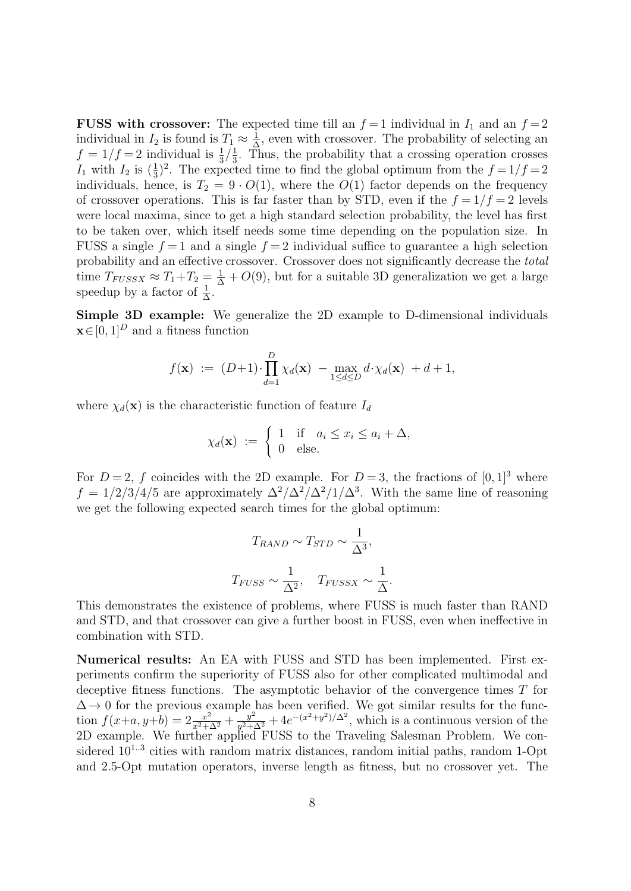**FUSS with crossover:** The expected time till an  $f = 1$  individual in  $I_1$  and an  $f = 2$ individual in  $I_2$  is found is  $T_1 \approx \frac{1}{\Delta}$  $\frac{1}{\Delta}$ , even with crossover. The probability of selecting an  $f = 1/f = 2$  individual is  $\frac{1}{3}/\frac{1}{3}$  $\frac{1}{3}$ . Thus, the probability that a crossing operation crosses *I*<sub>1</sub> with *I*<sub>2</sub> is  $(\frac{1}{3})^2$ . The expected time to find the global optimum from the  $f = 1/f = 2$ individuals, hence, is  $T_2 = 9 \cdot O(1)$ , where the  $O(1)$  factor depends on the frequency of crossover operations. This is far faster than by STD, even if the  $f = 1/f = 2$  levels were local maxima, since to get a high standard selection probability, the level has first to be taken over, which itself needs some time depending on the population size. In FUSS a single  $f = 1$  and a single  $f = 2$  individual suffice to guarantee a high selection probability and an effective crossover. Crossover does not significantly decrease the *total* time  $T_{FUSSX} \approx T_1 + T_2 = \frac{1}{\Delta} + O(9)$ , but for a suitable 3D generalization we get a large speedup by a factor of  $\frac{1}{\Delta}$ .

**Simple 3D example:** We generalize the 2D example to D-dimensional individuals  $\mathbf{x} \in [0, 1]$ <sup>*D*</sup> and a fitness function

$$
f(\mathbf{x}) := (D+1) \cdot \prod_{d=1}^{D} \chi_d(\mathbf{x}) - \max_{1 \le d \le D} d \cdot \chi_d(\mathbf{x}) + d + 1,
$$

where  $\chi_d(\mathbf{x})$  is the characteristic function of feature  $I_d$ 

$$
\chi_d(\mathbf{x}) \ := \ \begin{cases} \ 1 & \text{if} \quad a_i \leq x_i \leq a_i + \Delta, \\ \ 0 & \text{else.} \end{cases}
$$

For  $D=2$ ,  $f$  coincides with the 2D example. For  $D=3$ , the fractions of  $[0,1]^3$  where  $f = 1/2/3/4/5$  are approximately  $\Delta^2/\Delta^2/1/\Delta^3$ . With the same line of reasoning we get the following expected search times for the global optimum:

$$
T_{RAND} \sim T_{STD} \sim \frac{1}{\Delta^3},
$$
  

$$
T_{FUSS} \sim \frac{1}{\Delta^2}, \quad T_{FUSSX} \sim \frac{1}{\Delta}
$$

*.*

This demonstrates the existence of problems, where FUSS is much faster than RAND and STD, and that crossover can give a further boost in FUSS, even when ineffective in combination with STD.

**Numerical results:** An EA with FUSS and STD has been implemented. First experiments confirm the superiority of FUSS also for other complicated multimodal and deceptive fitness functions. The asymptotic behavior of the convergence times *T* for ∆*→* 0 for the previous example has been verified. We got similar results for the function  $f(x+a, y+b) = 2\frac{x^2}{x^2 + \Delta^2} + \frac{y^2}{y^2 + \Delta^2}$  $\frac{y^2}{y^2 + \Delta^2} + 4e^{-(x^2 + y^2)/\Delta^2}$ , which is a continuous version of the 2D example. We further applied FUSS to the Traveling Salesman Problem. We considered  $10^{1..3}$  cities with random matrix distances, random initial paths, random 1-Opt and 2.5-Opt mutation operators, inverse length as fitness, but no crossover yet. The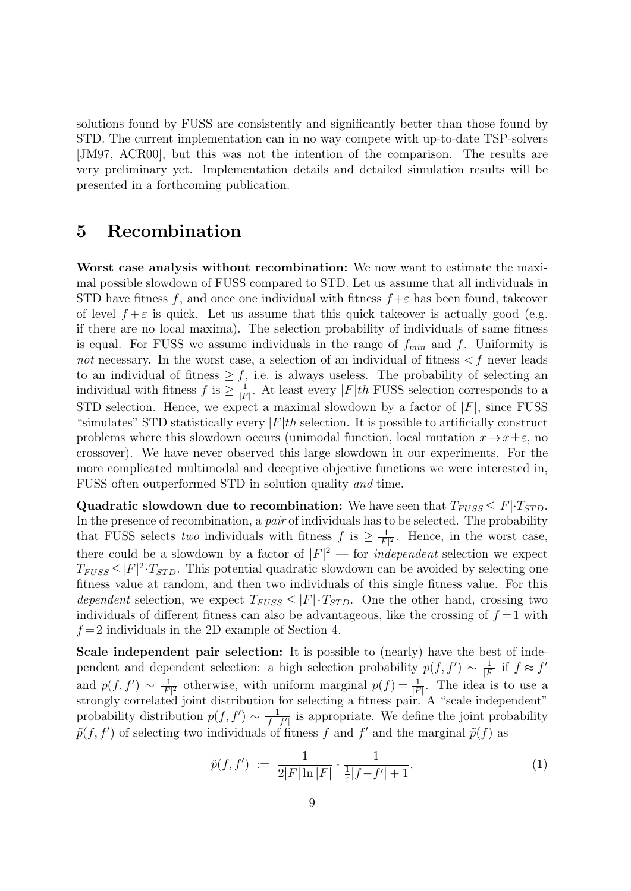solutions found by FUSS are consistently and significantly better than those found by STD. The current implementation can in no way compete with up-to-date TSP-solvers [JM97, ACR00], but this was not the intention of the comparison. The results are very preliminary yet. Implementation details and detailed simulation results will be presented in a forthcoming publication.

# **5 Recombination**

**Worst case analysis without recombination:** We now want to estimate the maximal possible slowdown of FUSS compared to STD. Let us assume that all individuals in STD have fitness f, and once one individual with fitness  $f + \varepsilon$  has been found, takeover of level  $f + \varepsilon$  is quick. Let us assume that this quick takeover is actually good (e.g. if there are no local maxima). The selection probability of individuals of same fitness is equal. For FUSS we assume individuals in the range of  $f_{min}$  and  $f$ . Uniformity is *not* necessary. In the worst case, a selection of an individual of fitness  $\lt f$  never leads to an individual of fitness  $\geq f$ , i.e. is always useless. The probability of selecting an individual with fitness  $f$  is  $\geq \frac{1}{|F|}$  $\frac{1}{|F|}$ . At least every  $|F|$ *th* FUSS selection corresponds to a STD selection. Hence, we expect a maximal slowdown by a factor of *|F|*, since FUSS "simulates" STD statistically every  $|F|$ *th* selection. It is possible to artificially construct problems where this slowdown occurs (unimodal function, local mutation  $x \to x \pm \varepsilon$ , no crossover). We have never observed this large slowdown in our experiments. For the more complicated multimodal and deceptive objective functions we were interested in, FUSS often outperformed STD in solution quality *and* time.

Quadratic slowdown due to recombination: We have seen that  $T_{FUSS} \leq |F| \cdot T_{STD}$ . In the presence of recombination, a *pair* of individuals has to be selected. The probability that FUSS selects *two* individuals with fitness  $f$  is  $\geq \frac{1}{|F|}$  $\frac{1}{|F|^2}$ . Hence, in the worst case, there could be a slowdown by a factor of  $|F|^2$  — for *independent* selection we expect  $T_{FUSS} \leq |F|^2 \cdot T_{STD}$ . This potential quadratic slowdown can be avoided by selecting one fitness value at random, and then two individuals of this single fitness value. For this *dependent* selection, we expect  $T_{FUSS} \leq |F| \cdot T_{STD}$ . One the other hand, crossing two individuals of different fitness can also be advantageous, like the crossing of  $f = 1$  with  $f = 2$  individuals in the 2D example of Section 4.

**Scale independent pair selection:** It is possible to (nearly) have the best of independent and dependent selection: a high selection probability  $p(f, f') \sim \frac{1}{|F|}$  $\frac{1}{|F|}$  if  $f \approx f'$ and  $p(f, f') \sim \frac{1}{|F|}$  $\frac{1}{|F|^2}$  otherwise, with uniform marginal  $p(f) = \frac{1}{|F|}$ . The idea is to use a strongly correlated joint distribution for selecting a fitness pair. A "scale independent" probability distribution  $p(f, f') \sim \frac{1}{|f - f|}$  $\frac{1}{|f-f'|}$  is appropriate. We define the joint probability  $\tilde{p}(f, f')$  of selecting two individuals of fitness *f* and *f*' and the marginal  $\tilde{p}(f)$  as

$$
\tilde{p}(f, f') := \frac{1}{2|F|\ln|F|} \cdot \frac{1}{\frac{1}{\varepsilon}|f - f'| + 1},\tag{1}
$$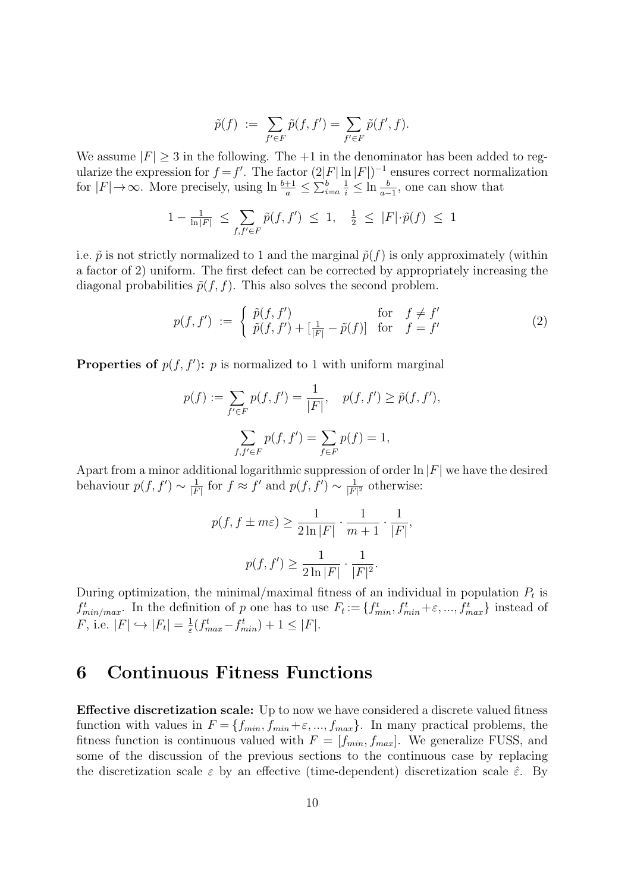$$
\tilde{p}(f) \ := \ \sum_{f' \in F} \tilde{p}(f,f') = \sum_{f' \in F} \tilde{p}(f',f).
$$

We assume  $|F| > 3$  in the following. The  $+1$  in the denominator has been added to regularize the expression for  $f = f'$ . The factor  $(2|F|\ln|F|)^{-1}$  ensures correct normalization for  $|F| \to \infty$ . More precisely, using  $\ln \frac{b+1}{a} \le \sum_{i=a}^{b} \frac{1}{i} \le \ln \frac{b}{a-1}$ , one can show that

$$
1 - \tfrac{1}{\ln |F|} \leq \sum_{f, f' \in F} \tilde{p}(f, f') \leq 1, \quad \tfrac{1}{2} \leq |F| \cdot \tilde{p}(f) \leq 1
$$

i.e.  $\tilde{p}$  is not strictly normalized to 1 and the marginal  $\tilde{p}(f)$  is only approximately (within a factor of 2) uniform. The first defect can be corrected by appropriately increasing the diagonal probabilities  $\tilde{p}(f, f)$ . This also solves the second problem.

$$
p(f, f') := \begin{cases} \tilde{p}(f, f') & \text{for} \quad f \neq f' \\ \tilde{p}(f, f') + \left[\frac{1}{|F|} - \tilde{p}(f)\right] & \text{for} \quad f = f' \end{cases}
$$
 (2)

**Properties of**  $p(f, f')$ : *p* is normalized to 1 with uniform marginal

$$
p(f) := \sum_{f' \in F} p(f, f') = \frac{1}{|F|}, \quad p(f, f') \ge \tilde{p}(f, f'),
$$

$$
\sum_{f, f' \in F} p(f, f') = \sum_{f \in F} p(f) = 1,
$$

Apart from a minor additional logarithmic suppression of order ln *|F|* we have the desired behaviour  $p(f, f') \sim \frac{1}{|F|}$  $\frac{1}{|F|}$  for  $f \approx f'$  and  $p(f, f') \sim \frac{1}{|F|}$  $\frac{1}{|F|^2}$  otherwise:

$$
p(f, f \pm m\varepsilon) \ge \frac{1}{2\ln|F|} \cdot \frac{1}{m+1} \cdot \frac{1}{|F|},
$$

$$
p(f, f') \ge \frac{1}{2\ln|F|} \cdot \frac{1}{|F|^2}.
$$

During optimization, the minimal/maximal fitness of an individual in population  $P_t$  is  $f^t_{min/max}$ . In the definition of *p* one has to use  $F_t := \{f^t_{min}, f^t_{min} + \varepsilon, ..., f^t_{max}\}\)$  instead of *F*, i.e.  $|F| \hookrightarrow |F_t| = \frac{1}{\varepsilon}$  $\frac{1}{\varepsilon}(f_{max}^t - f_{min}^t) + 1 \leq |F|.$ 

# **6 Continuous Fitness Functions**

**Effective discretization scale:** Up to now we have considered a discrete valued fitness function with values in  $F = \{f_{min}, f_{min} + \varepsilon, ..., f_{max}\}\$ . In many practical problems, the fitness function is continuous valued with  $F = [f_{min}, f_{max}]$ . We generalize FUSS, and some of the discussion of the previous sections to the continuous case by replacing the discretization scale  $\varepsilon$  by an effective (time-dependent) discretization scale  $\hat{\varepsilon}$ . By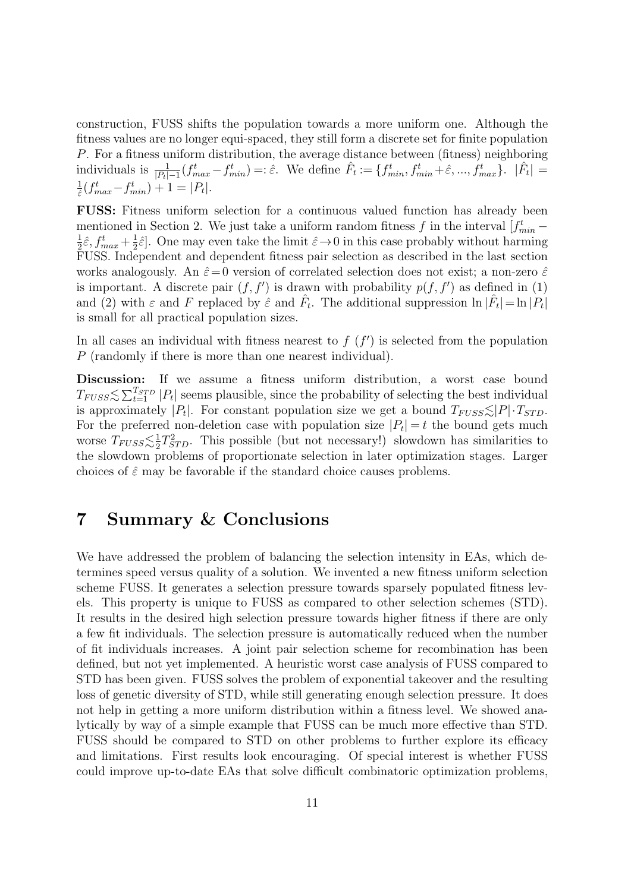construction, FUSS shifts the population towards a more uniform one. Although the fitness values are no longer equi-spaced, they still form a discrete set for finite population *P*. For a fitness uniform distribution, the average distance between (fitness) neighboring individuals is  $\frac{1}{|P_t| - 1}(f_{max}^t - f_{min}^t) = \hat{\varepsilon}$ . We define  $\hat{F}_t := \{f_{min}^t, f_{min}^t + \hat{\varepsilon}, ..., f_{max}^t\}$ .  $|\hat{F}_t| =$ 1  $\frac{1}{\hat{\epsilon}}(f_{max}^t - f_{min}^t) + 1 = |P_t|.$ 

**FUSS:** Fitness uniform selection for a continuous valued function has already been mentioned in Section 2. We just take a uniform random fitness  $f$  in the interval  $[f<sub>min</sub><sup>t</sup> -$ 1  $\frac{1}{2}\hat{\varepsilon}, f_{max}^t + \frac{1}{2}$  $\frac{1}{2}\hat{\epsilon}$ . One may even take the limit  $\hat{\epsilon} \to 0$  in this case probably without harming FUSS. Independent and dependent fitness pair selection as described in the last section works analogously. An  $\hat{\varepsilon} = 0$  version of correlated selection does not exist; a non-zero  $\hat{\varepsilon}$ is important. A discrete pair  $(f, f')$  is drawn with probability  $p(f, f')$  as defined in (1) and (2) with  $\varepsilon$  and  $F$  replaced by  $\hat{\varepsilon}$  and  $\hat{F}_t$ . The additional suppression  $\ln |\hat{F}_t| = \ln |P_t|$ is small for all practical population sizes.

In all cases an individual with fitness nearest to  $f(f')$  is selected from the population *P* (randomly if there is more than one nearest individual).

**Discussion:** If we assume a fitness uniform distribution, a worst case bound  $T_{FUSS} \leq \sum_{t=1}^{T_{STD}} |P_t|$  seems plausible, since the probability of selecting the best individual is approximately  $|P_t|$ . For constant population size we get a bound  $T_{FUSS} \leq |P| \cdot T_{STD}$ . For the preferred non-deletion case with population size  $|P_t| = t$  the bound gets much worse  $T_{FUSS} \lesssim \frac{1}{2}$  $\frac{1}{2}T_{STD}^2$ . This possible (but not necessary!) slowdown has similarities to the slowdown problems of proportionate selection in later optimization stages. Larger choices of  $\hat{\varepsilon}$  may be favorable if the standard choice causes problems.

# **7 Summary & Conclusions**

We have addressed the problem of balancing the selection intensity in EAs, which determines speed versus quality of a solution. We invented a new fitness uniform selection scheme FUSS. It generates a selection pressure towards sparsely populated fitness levels. This property is unique to FUSS as compared to other selection schemes (STD). It results in the desired high selection pressure towards higher fitness if there are only a few fit individuals. The selection pressure is automatically reduced when the number of fit individuals increases. A joint pair selection scheme for recombination has been defined, but not yet implemented. A heuristic worst case analysis of FUSS compared to STD has been given. FUSS solves the problem of exponential takeover and the resulting loss of genetic diversity of STD, while still generating enough selection pressure. It does not help in getting a more uniform distribution within a fitness level. We showed analytically by way of a simple example that FUSS can be much more effective than STD. FUSS should be compared to STD on other problems to further explore its efficacy and limitations. First results look encouraging. Of special interest is whether FUSS could improve up-to-date EAs that solve difficult combinatoric optimization problems,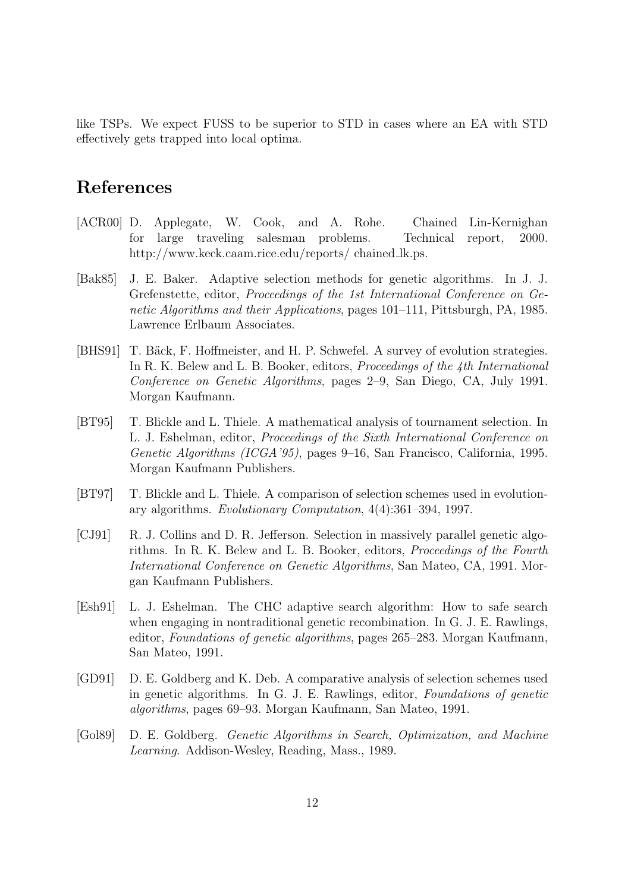like TSPs. We expect FUSS to be superior to STD in cases where an EA with STD effectively gets trapped into local optima.

# **References**

- [ACR00] D. Applegate, W. Cook, and A. Rohe. Chained Lin-Kernighan for large traveling salesman problems. Technical report, 2000. http://www.keck.caam.rice.edu/reports/ chained\_lk.ps.
- [Bak85] J. E. Baker. Adaptive selection methods for genetic algorithms. In J. J. Grefenstette, editor, *Proceedings of the 1st International Conference on Genetic Algorithms and their Applications*, pages 101–111, Pittsburgh, PA, 1985. Lawrence Erlbaum Associates.
- [BHS91] T. Bäck, F. Hoffmeister, and H. P. Schwefel. A survey of evolution strategies. In R. K. Belew and L. B. Booker, editors, *Proceedings of the 4th International Conference on Genetic Algorithms*, pages 2–9, San Diego, CA, July 1991. Morgan Kaufmann.
- [BT95] T. Blickle and L. Thiele. A mathematical analysis of tournament selection. In L. J. Eshelman, editor, *Proceedings of the Sixth International Conference on Genetic Algorithms (ICGA'95)*, pages 9–16, San Francisco, California, 1995. Morgan Kaufmann Publishers.
- [BT97] T. Blickle and L. Thiele. A comparison of selection schemes used in evolutionary algorithms. *Evolutionary Computation*, 4(4):361–394, 1997.
- [CJ91] R. J. Collins and D. R. Jefferson. Selection in massively parallel genetic algorithms. In R. K. Belew and L. B. Booker, editors, *Proceedings of the Fourth International Conference on Genetic Algorithms*, San Mateo, CA, 1991. Morgan Kaufmann Publishers.
- [Esh91] L. J. Eshelman. The CHC adaptive search algorithm: How to safe search when engaging in nontraditional genetic recombination. In G. J. E. Rawlings, editor, *Foundations of genetic algorithms*, pages 265–283. Morgan Kaufmann, San Mateo, 1991.
- [GD91] D. E. Goldberg and K. Deb. A comparative analysis of selection schemes used in genetic algorithms. In G. J. E. Rawlings, editor, *Foundations of genetic algorithms*, pages 69–93. Morgan Kaufmann, San Mateo, 1991.
- [Gol89] D. E. Goldberg. *Genetic Algorithms in Search, Optimization, and Machine Learning*. Addison-Wesley, Reading, Mass., 1989.